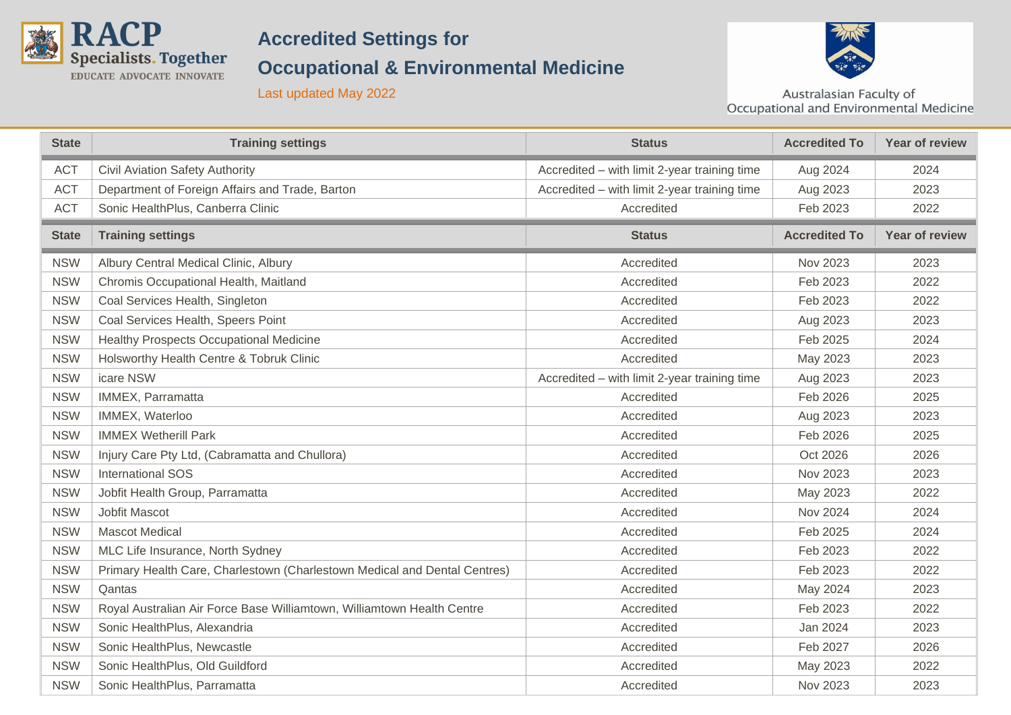

## **Accredited Settings for**

## **Occupational & Environmental Medicine**



Last updated May 2022

Australasian Faculty of<br>Occupational and Environmental Medicine

| <b>State</b> | <b>Training settings</b>                                                  | <b>Status</b>                                | <b>Accredited To</b> | <b>Year of review</b> |
|--------------|---------------------------------------------------------------------------|----------------------------------------------|----------------------|-----------------------|
| <b>ACT</b>   | Civil Aviation Safety Authority                                           | Accredited - with limit 2-year training time | Aug 2024             | 2024                  |
| <b>ACT</b>   | Department of Foreign Affairs and Trade, Barton                           | Accredited - with limit 2-year training time | Aug 2023             | 2023                  |
| <b>ACT</b>   | Sonic HealthPlus, Canberra Clinic                                         | Accredited                                   | Feb 2023             | 2022                  |
| <b>State</b> | <b>Training settings</b>                                                  | <b>Status</b>                                | <b>Accredited To</b> | <b>Year of review</b> |
| <b>NSW</b>   | Albury Central Medical Clinic, Albury                                     | Accredited                                   | Nov 2023             | 2023                  |
| <b>NSW</b>   | Chromis Occupational Health, Maitland                                     | Accredited                                   | Feb 2023             | 2022                  |
| <b>NSW</b>   | Coal Services Health, Singleton                                           | Accredited                                   | Feb 2023             | 2022                  |
| <b>NSW</b>   | Coal Services Health, Speers Point                                        | Accredited                                   | Aug 2023             | 2023                  |
| <b>NSW</b>   | Healthy Prospects Occupational Medicine                                   | Accredited                                   | Feb 2025             | 2024                  |
| <b>NSW</b>   | Holsworthy Health Centre & Tobruk Clinic                                  | Accredited                                   | May 2023             | 2023                  |
| <b>NSW</b>   | icare NSW                                                                 | Accredited - with limit 2-year training time | Aug 2023             | 2023                  |
| <b>NSW</b>   | IMMEX, Parramatta                                                         | Accredited                                   | Feb 2026             | 2025                  |
| <b>NSW</b>   | IMMEX, Waterloo                                                           | Accredited                                   | Aug 2023             | 2023                  |
| <b>NSW</b>   | <b>IMMEX Wetherill Park</b>                                               | Accredited                                   | Feb 2026             | 2025                  |
| <b>NSW</b>   | Injury Care Pty Ltd, (Cabramatta and Chullora)                            | Accredited                                   | Oct 2026             | 2026                  |
| <b>NSW</b>   | <b>International SOS</b>                                                  | Accredited                                   | Nov 2023             | 2023                  |
| <b>NSW</b>   | Jobfit Health Group, Parramatta                                           | Accredited                                   | May 2023             | 2022                  |
| <b>NSW</b>   | Jobfit Mascot                                                             | Accredited                                   | Nov 2024             | 2024                  |
| <b>NSW</b>   | <b>Mascot Medical</b>                                                     | Accredited                                   | Feb 2025             | 2024                  |
| <b>NSW</b>   | MLC Life Insurance, North Sydney                                          | Accredited                                   | Feb 2023             | 2022                  |
| <b>NSW</b>   | Primary Health Care, Charlestown (Charlestown Medical and Dental Centres) | Accredited                                   | Feb 2023             | 2022                  |
| <b>NSW</b>   | Qantas                                                                    | Accredited                                   | May 2024             | 2023                  |
| <b>NSW</b>   | Royal Australian Air Force Base Williamtown, Williamtown Health Centre    | Accredited                                   | Feb 2023             | 2022                  |
| <b>NSW</b>   | Sonic HealthPlus, Alexandria                                              | Accredited                                   | Jan 2024             | 2023                  |
| <b>NSW</b>   | Sonic HealthPlus, Newcastle                                               | Accredited                                   | Feb 2027             | 2026                  |
| <b>NSW</b>   | Sonic HealthPlus, Old Guildford                                           | Accredited                                   | May 2023             | 2022                  |
| <b>NSW</b>   | Sonic HealthPlus, Parramatta                                              | Accredited                                   | Nov 2023             | 2023                  |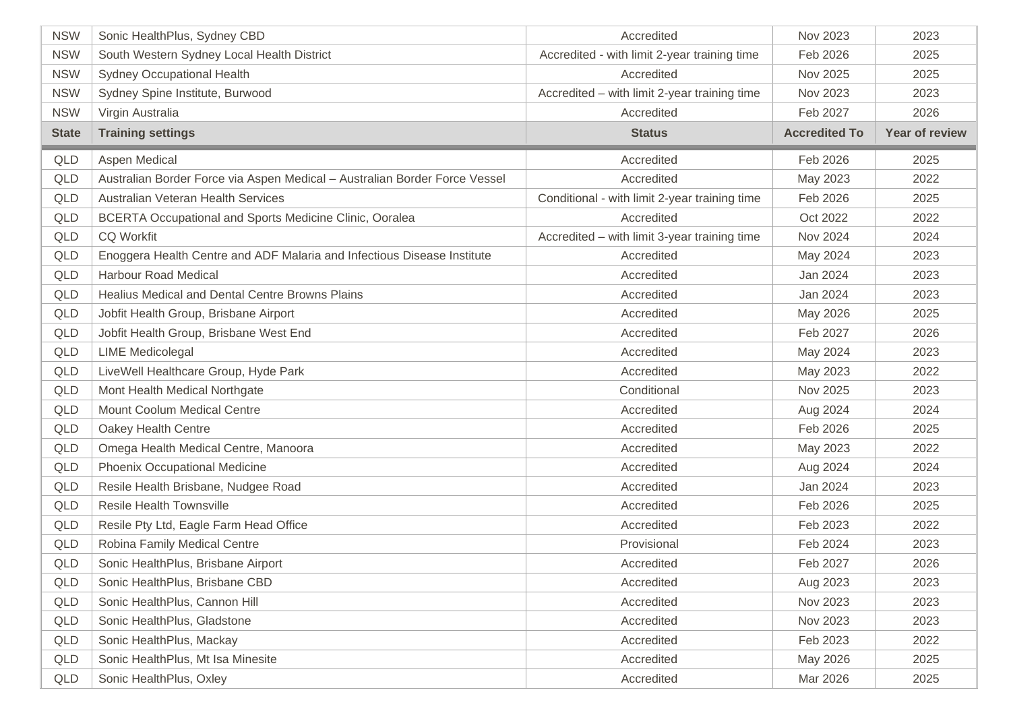| <b>NSW</b>   | Sonic HealthPlus, Sydney CBD                                               | Accredited                                    | Nov 2023             | 2023           |
|--------------|----------------------------------------------------------------------------|-----------------------------------------------|----------------------|----------------|
| <b>NSW</b>   | South Western Sydney Local Health District                                 | Accredited - with limit 2-year training time  | Feb 2026             | 2025           |
| <b>NSW</b>   | Sydney Occupational Health                                                 | Accredited                                    | Nov 2025             | 2025           |
| <b>NSW</b>   | Sydney Spine Institute, Burwood                                            | Accredited - with limit 2-year training time  | Nov 2023             | 2023           |
| <b>NSW</b>   | Virgin Australia                                                           | Accredited                                    | Feb 2027             | 2026           |
| <b>State</b> | <b>Training settings</b>                                                   | <b>Status</b>                                 | <b>Accredited To</b> | Year of review |
| QLD          | Aspen Medical                                                              | Accredited                                    | Feb 2026             | 2025           |
| <b>QLD</b>   | Australian Border Force via Aspen Medical - Australian Border Force Vessel | Accredited                                    | May 2023             | 2022           |
| <b>QLD</b>   | Australian Veteran Health Services                                         | Conditional - with limit 2-year training time | Feb 2026             | 2025           |
| QLD          | <b>BCERTA Occupational and Sports Medicine Clinic, Ooralea</b>             | Accredited                                    | Oct 2022             | 2022           |
| <b>QLD</b>   | <b>CQ Workfit</b>                                                          | Accredited - with limit 3-year training time  | Nov 2024             | 2024           |
| <b>QLD</b>   | Enoggera Health Centre and ADF Malaria and Infectious Disease Institute    | Accredited                                    | May 2024             | 2023           |
| <b>QLD</b>   | <b>Harbour Road Medical</b>                                                | Accredited                                    | Jan 2024             | 2023           |
| <b>QLD</b>   | Healius Medical and Dental Centre Browns Plains                            | Accredited                                    | Jan 2024             | 2023           |
| <b>QLD</b>   | Jobfit Health Group, Brisbane Airport                                      | Accredited                                    | May 2026             | 2025           |
| <b>QLD</b>   | Jobfit Health Group, Brisbane West End                                     | Accredited                                    | Feb 2027             | 2026           |
| QLD          | <b>LIME Medicolegal</b>                                                    | Accredited                                    | May 2024             | 2023           |
| <b>QLD</b>   | LiveWell Healthcare Group, Hyde Park                                       | Accredited                                    | May 2023             | 2022           |
| <b>QLD</b>   | Mont Health Medical Northgate                                              | Conditional                                   | Nov 2025             | 2023           |
| <b>QLD</b>   | <b>Mount Coolum Medical Centre</b>                                         | Accredited                                    | Aug 2024             | 2024           |
| <b>QLD</b>   | Oakey Health Centre                                                        | Accredited                                    | Feb 2026             | 2025           |
| QLD          | Omega Health Medical Centre, Manoora                                       | Accredited                                    | May 2023             | 2022           |
| <b>QLD</b>   | Phoenix Occupational Medicine                                              | Accredited                                    | Aug 2024             | 2024           |
| <b>QLD</b>   | Resile Health Brisbane, Nudgee Road                                        | Accredited                                    | Jan 2024             | 2023           |
| <b>QLD</b>   | <b>Resile Health Townsville</b>                                            | Accredited                                    | Feb 2026             | 2025           |
| <b>QLD</b>   | Resile Pty Ltd, Eagle Farm Head Office                                     | Accredited                                    | Feb 2023             | 2022           |
| <b>QLD</b>   | Robina Family Medical Centre                                               | Provisional                                   | Feb 2024             | 2023           |
| QLD          | Sonic HealthPlus, Brisbane Airport                                         | Accredited                                    | Feb 2027             | 2026           |
| <b>QLD</b>   | Sonic HealthPlus, Brisbane CBD                                             | Accredited                                    | Aug 2023             | 2023           |
| QLD          | Sonic HealthPlus, Cannon Hill                                              | Accredited                                    | Nov 2023             | 2023           |
| QLD          | Sonic HealthPlus, Gladstone                                                | Accredited                                    | Nov 2023             | 2023           |
| QLD          | Sonic HealthPlus, Mackay                                                   | Accredited                                    | Feb 2023             | 2022           |
| QLD          | Sonic HealthPlus, Mt Isa Minesite                                          | Accredited                                    | May 2026             | 2025           |
| QLD          | Sonic HealthPlus, Oxley                                                    | Accredited                                    | Mar 2026             | 2025           |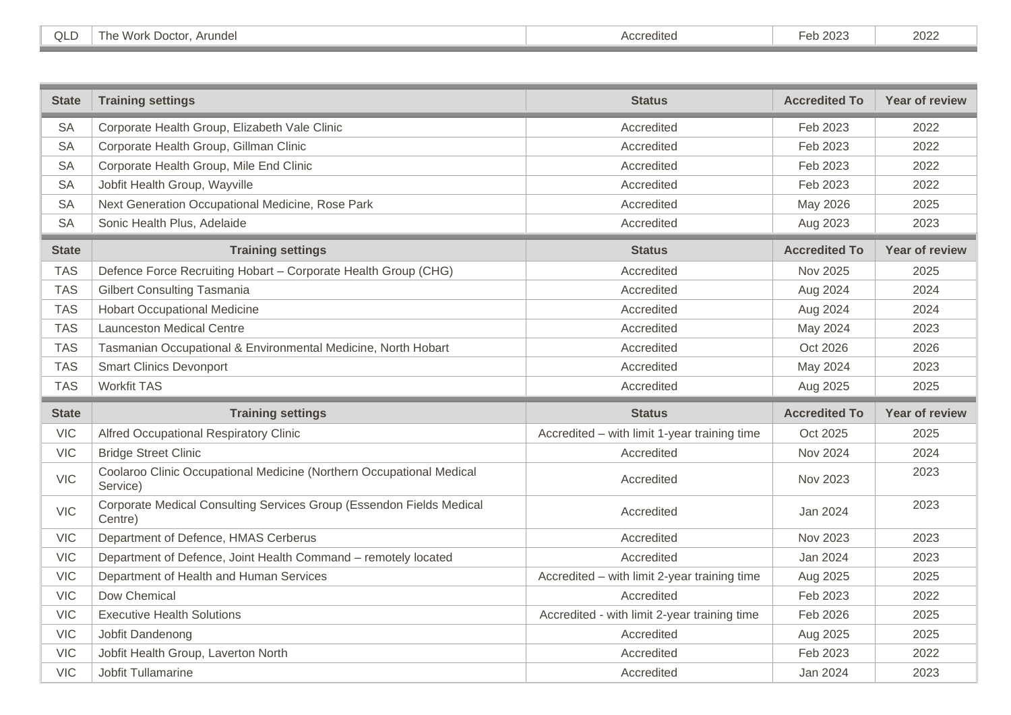| $\cap$<br>◡ | . .<br>Work<br>Arundel<br>Doctor<br>l he | Accredited | $.$ $000c$<br>-eb 2023 | 2022 |
|-------------|------------------------------------------|------------|------------------------|------|
|             |                                          |            |                        |      |
|             |                                          |            |                        |      |

| <b>State</b> | <b>Training settings</b>                                                         | <b>Status</b>                                | <b>Accredited To</b> | Year of review        |
|--------------|----------------------------------------------------------------------------------|----------------------------------------------|----------------------|-----------------------|
| <b>SA</b>    | Corporate Health Group, Elizabeth Vale Clinic                                    | Accredited                                   | Feb 2023             | 2022                  |
| <b>SA</b>    | Corporate Health Group, Gillman Clinic                                           | Accredited                                   | Feb 2023             | 2022                  |
| <b>SA</b>    | Corporate Health Group, Mile End Clinic                                          | Accredited                                   | Feb 2023             | 2022                  |
| <b>SA</b>    | Jobfit Health Group, Wayville                                                    | Accredited                                   | Feb 2023             | 2022                  |
| <b>SA</b>    | Next Generation Occupational Medicine, Rose Park                                 | Accredited                                   | May 2026             | 2025                  |
| <b>SA</b>    | Sonic Health Plus, Adelaide                                                      | Accredited                                   | Aug 2023             | 2023                  |
| <b>State</b> | <b>Training settings</b>                                                         | <b>Status</b>                                | <b>Accredited To</b> | <b>Year of review</b> |
| <b>TAS</b>   | Defence Force Recruiting Hobart - Corporate Health Group (CHG)                   | Accredited                                   | Nov 2025             | 2025                  |
| <b>TAS</b>   | <b>Gilbert Consulting Tasmania</b>                                               | Accredited                                   | Aug 2024             | 2024                  |
| <b>TAS</b>   | <b>Hobart Occupational Medicine</b>                                              | Accredited                                   | Aug 2024             | 2024                  |
| <b>TAS</b>   | <b>Launceston Medical Centre</b>                                                 | Accredited                                   | May 2024             | 2023                  |
| <b>TAS</b>   | Tasmanian Occupational & Environmental Medicine, North Hobart                    | Accredited                                   | Oct 2026             | 2026                  |
| <b>TAS</b>   | <b>Smart Clinics Devonport</b>                                                   | Accredited                                   | May 2024             | 2023                  |
| <b>TAS</b>   | <b>Workfit TAS</b>                                                               | Accredited                                   | Aug 2025             | 2025                  |
| <b>State</b> | <b>Training settings</b>                                                         | <b>Status</b>                                | <b>Accredited To</b> | Year of review        |
| <b>VIC</b>   | Alfred Occupational Respiratory Clinic                                           | Accredited - with limit 1-year training time | Oct 2025             | 2025                  |
| <b>VIC</b>   | <b>Bridge Street Clinic</b>                                                      | Accredited                                   | <b>Nov 2024</b>      | 2024                  |
| <b>VIC</b>   | Coolaroo Clinic Occupational Medicine (Northern Occupational Medical<br>Service) | Accredited                                   | Nov 2023             | 2023                  |
| <b>VIC</b>   | Corporate Medical Consulting Services Group (Essendon Fields Medical<br>Centre)  | Accredited                                   | Jan 2024             | 2023                  |
| <b>VIC</b>   | Department of Defence, HMAS Cerberus                                             | Accredited                                   | Nov 2023             | 2023                  |
| <b>VIC</b>   | Department of Defence, Joint Health Command - remotely located                   | Accredited                                   | Jan 2024             | 2023                  |
| <b>VIC</b>   | Department of Health and Human Services                                          | Accredited - with limit 2-year training time | Aug 2025             | 2025                  |
| <b>VIC</b>   | Dow Chemical                                                                     | Accredited                                   | Feb 2023             | 2022                  |
| <b>VIC</b>   | <b>Executive Health Solutions</b>                                                | Accredited - with limit 2-year training time | Feb 2026             | 2025                  |
| <b>VIC</b>   | Jobfit Dandenong                                                                 | Accredited                                   | Aug 2025             | 2025                  |
| <b>VIC</b>   | Jobfit Health Group, Laverton North                                              | Accredited                                   | Feb 2023             | 2022                  |
| <b>VIC</b>   | Jobfit Tullamarine                                                               | Accredited                                   | Jan 2024             | 2023                  |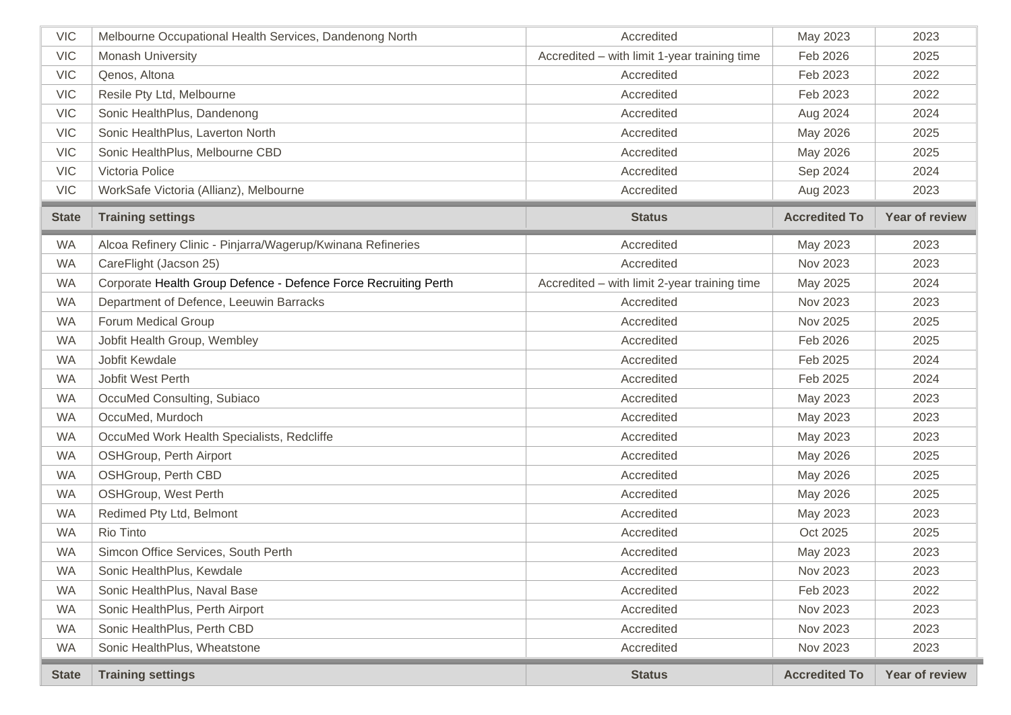| <b>VIC</b>   | Melbourne Occupational Health Services, Dandenong North         | Accredited                                   | May 2023             | 2023           |
|--------------|-----------------------------------------------------------------|----------------------------------------------|----------------------|----------------|
| <b>VIC</b>   | Monash University                                               | Accredited - with limit 1-year training time | Feb 2026             | 2025           |
| <b>VIC</b>   | Qenos, Altona                                                   | Accredited                                   | Feb 2023             | 2022           |
| <b>VIC</b>   | Resile Pty Ltd, Melbourne                                       | Accredited                                   | Feb 2023             | 2022           |
| <b>VIC</b>   | Sonic HealthPlus, Dandenong                                     | Accredited                                   | Aug 2024             | 2024           |
| <b>VIC</b>   | Sonic HealthPlus, Laverton North                                | Accredited                                   | May 2026             | 2025           |
| <b>VIC</b>   | Sonic HealthPlus, Melbourne CBD                                 | Accredited                                   | May 2026             | 2025           |
| <b>VIC</b>   | Victoria Police                                                 | Accredited                                   | Sep 2024             | 2024           |
| <b>VIC</b>   | WorkSafe Victoria (Allianz), Melbourne                          | Accredited                                   | Aug 2023             | 2023           |
| <b>State</b> | <b>Training settings</b>                                        | <b>Status</b>                                | <b>Accredited To</b> | Year of review |
| <b>WA</b>    | Alcoa Refinery Clinic - Pinjarra/Wagerup/Kwinana Refineries     | Accredited                                   | May 2023             | 2023           |
| <b>WA</b>    | CareFlight (Jacson 25)                                          | Accredited                                   | Nov 2023             | 2023           |
| <b>WA</b>    | Corporate Health Group Defence - Defence Force Recruiting Perth | Accredited - with limit 2-year training time | May 2025             | 2024           |
| <b>WA</b>    | Department of Defence, Leeuwin Barracks                         | Accredited                                   | Nov 2023             | 2023           |
| <b>WA</b>    | <b>Forum Medical Group</b>                                      | Accredited                                   | Nov 2025             | 2025           |
| <b>WA</b>    | Jobfit Health Group, Wembley                                    | Accredited                                   | Feb 2026             | 2025           |
| <b>WA</b>    | Jobfit Kewdale                                                  | Accredited                                   | Feb 2025             | 2024           |
| <b>WA</b>    | Jobfit West Perth                                               | Accredited                                   | Feb 2025             | 2024           |
| <b>WA</b>    | OccuMed Consulting, Subiaco                                     | Accredited                                   | May 2023             | 2023           |
| <b>WA</b>    | OccuMed, Murdoch                                                | Accredited                                   | May 2023             | 2023           |
| <b>WA</b>    | OccuMed Work Health Specialists, Redcliffe                      | Accredited                                   | May 2023             | 2023           |
| <b>WA</b>    | OSHGroup, Perth Airport                                         | Accredited                                   | May 2026             | 2025           |
| <b>WA</b>    | OSHGroup, Perth CBD                                             | Accredited                                   | May 2026             | 2025           |
| <b>WA</b>    | <b>OSHGroup, West Perth</b>                                     | Accredited                                   | May 2026             | 2025           |
| <b>WA</b>    | Redimed Pty Ltd, Belmont                                        | Accredited                                   | May 2023             | 2023           |
| <b>WA</b>    | Rio Tinto                                                       | Accredited                                   | Oct 2025             | 2025           |
| <b>WA</b>    | Simcon Office Services, South Perth                             | Accredited                                   | May 2023             | 2023           |
| <b>WA</b>    | Sonic HealthPlus, Kewdale                                       | Accredited                                   | Nov 2023             | 2023           |
| <b>WA</b>    | Sonic HealthPlus, Naval Base                                    | Accredited                                   | Feb 2023             | 2022           |
| <b>WA</b>    | Sonic HealthPlus, Perth Airport                                 | Accredited                                   | Nov 2023             | 2023           |
| <b>WA</b>    | Sonic HealthPlus, Perth CBD                                     | Accredited                                   | Nov 2023             | 2023           |
| <b>WA</b>    | Sonic HealthPlus, Wheatstone                                    | Accredited                                   | Nov 2023             | 2023           |
| <b>State</b> | <b>Training settings</b>                                        | <b>Status</b>                                | <b>Accredited To</b> | Year of review |